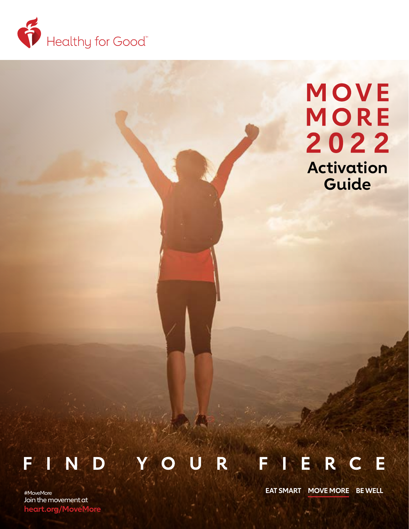

# MOVE MORE 2022 **Activation Guide**

#### R IER Œ F F N D G

Join the movement at **[heart.org/MoveMore](http://www.heart.org/MoveMore)**

#MoveMore **EAT SMART MOVE MORE BE WELL**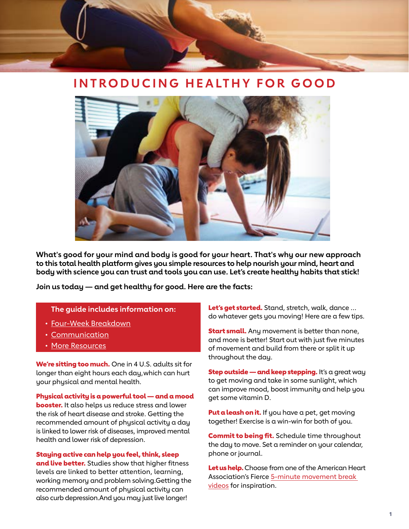

## **INTRODUCING HEALTHY FOR GOOD**



**What's good for your mind and body is good for your heart. That's why our new approach to this total health platform gives you simple resources to help nourish your mind, heart and body with science you can trust and tools you can use. Let's create healthy habits that stick!**

**Join us today — and get healthy for good. Here are the facts:**

#### **The guide includes information on:**

- [Four-Week Breakdown](#page-2-0)
- [Communication](#page-4-0)
- More [Resources](#page-7-0)

We're sitting too much. One in 4 U.S. adults sit for longer than eight hours each day,which can hurt your physical and mental health.

Physical activity is a powerful tool  $-$  and a mood **booster.** It also helps us reduce stress and lower the risk of heart disease and stroke. Getting the recommended amount of physical activity a day is linked to lower risk of diseases, improved mental health and lower risk of depression.

Staying active can help you feel, think, sleep and live better. Studies show that higher fitness levels are linked to better attention, learning, working memory and problem solving.Getting the recommended amount of physical activity can also curb depression.And you may just live longer!

Let's get started. Stand, stretch, walk, dance ... do whatever gets you moving! Here are a few tips.

**Start small.** Any movement is better than none, and more is better! Start out with just five minutes of movement and build from there or split it up throughout the day.

**Step outside — and keep stepping.** It's a great way to get moving and take in some sunlight, which can improve mood, boost immunity and help you get some vitamin D.

**Put a leash on it.** If you have a pet, get moving together! Exercise is a win-win for both of you.

**Commit to being fit.** Schedule time throughout the day to move. Set a reminder on your calendar, phone or journal.

Let us help. Choose from one of the American Heart Association's Fierce [5-minute movement break](https://www.heart.org/en/healthy-living/fitness/fitness-basics/move-more-together)  [videos](https://www.heart.org/en/healthy-living/fitness/fitness-basics/move-more-together) for inspiration.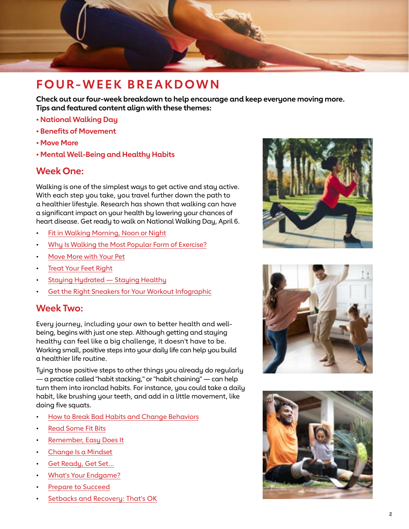<span id="page-2-0"></span>

## **FOUR-WEEK BREAKDOWN**

**Check out our four-week breakdown to help encourage and keep everyone moving more. Tips and featured content align with these themes:**

- **National Walking Day**
- **Benefits of Movement**
- **Move More**
- **Mental Well-Being and Healthy Habits**

### **Week One:**

Walking is one of the simplest ways to get active and stay active. With each step you take, you travel further down the path to a healthier lifestyle. Research has shown that walking can have a significant impact on your health by lowering your chances of heart disease. Get ready to walk on National Walking Day, April 6.

- [Fit in Walking Morning, Noon or Night](https://www.heart.org/en/healthy-living/fitness/walking/fit-in-walking-morning-noon-or-night)
- [Why Is Walking the Most Popular Form of Exercise?](https://www.heart.org/en/healthy-living/fitness/walking/why-is-walking-the-most-popular-form-of-exercise)
- [Move More with Your Pet](https://www.heart.org/en/healthy-living/healthy-bond-for-life-pets/move-more-with-your-pet)
- **[Treat Your Feet Right](https://www.heart.org/en/healthy-living/fitness/fitness-basics/treat-your-feet-right)**
- [Staying Hydrated Staying Healthy](https://www.heart.org/en/healthy-living/fitness/fitness-basics/staying-hydrated-staying-healthy)
- [Get the Right Sneakers for Your Workout Infographic](https://www.heart.org/en/healthy-living/fitness/getting-active/get-the-right-sneakers-for-your-workout-infographic)

### **Week Two:**

Every journey, including your own to better health and wellbeing, begins with just one step. Although getting and staying healthy can feel like a big challenge, it doesn't have to be. Working small, positive steps into your daily life can help you build a healthier life routine.

Tying those positive steps to other things you already do regularly — a practice called "habit stacking," or "habit chaining" — can help turn them into ironclad habits. For instance, you could take a daily habit, like brushing your teeth, and add in a little movement, like doing five squats.

- [How to Break Bad Habits and Change Behaviors](https://www.heart.org/en/healthy-living/healthy-lifestyle/mental-health-and-wellbeing/how-to-break-bad-habits-and-change-behaviors)
- [Read Some Fit Bits](https://www.heart.org/en/healthy-living/healthy-lifestyle/habits/fit-bits)
- [Remember, Easy Does It](https://www.heart.org/en/healthy-living/healthy-lifestyle/habits/easy-does-it)
- [Change Is a Mindset](https://www.heart.org/en/healthy-living/healthy-lifestyle/habits/change-is-a-mindset)
- [Get Ready, Get Set...](https://www.heart.org/en/healthy-living/healthy-lifestyle/habits/get-ready-get-set)
- [What's Your Endgame?](https://www.heart.org/en/healthy-living/healthy-lifestyle/habits/whats-your-endgame)
- [Prepare to Succeed](https://www.heart.org/en/healthy-living/healthy-lifestyle/habits/prepare-to-succeed)
- [Setbacks and Recovery: That's OK](https://www.heart.org/en/healthy-living/healthy-lifestyle/habits/setbacks-and-recovery-thats-ok)





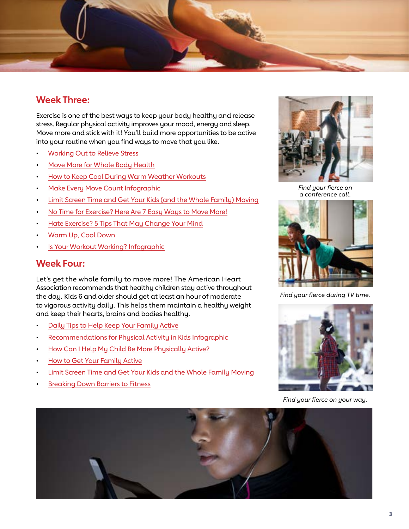

## **Week Three:**

Exercise is one of the best ways to keep your body healthy and release stress. Regular physical activity improves your mood, energy and sleep. Move more and stick with it! You'll build more opportunities to be active into your routine when you find ways to move that you like.

- [Working Out to Relieve Stress](https://www.heart.org/en/healthy-living/healthy-lifestyle/stress-management/working-out-to-relieve-stress)
- [Move More for Whole Body Health](https://www.heart.org/en/healthy-living/fitness/fitness-basics/move-more-for-whole-body-health-infographic)
- [How to Keep Cool During Warm Weather Workouts](https://www.heart.org/en/healthy-living/fitness/fitness-basics/how-to-keep-cool-during-warm-weather-workouts)
- [Make Every Move Count](https://www.heart.org/en/healthy-living/fitness/fitness-basics/make-every-move-count-infographic) Infographic
- [Limit Screen Time and Get Your Kids \(and the Whole Family\) Moving](https://www.heart.org/en/healthy-living/fitness/getting-active/limit-screen-time-and-get-your-kids-and-the-whole-family-moving)
- [No Time for Exercise? Here Are 7 Easy Ways to Move More!](https://www.heart.org/en/healthy-living/fitness/getting-active/no-time-for-exercise-here-are-7-easy-ways-to-move-more)
- [Hate Exercise? 5 Tips That May Change Your Mind](https://www.heart.org/en/healthy-living/fitness/staying-motivated/hate-exercise-5-steps-to-loving-exercise)
- [Warm Up, Cool Down](https://www.heart.org/en/healthy-living/fitness/fitness-basics/warm-up-cool-down)
- [Is Your Workout Working? Infographic](https://www.heart.org/en/healthy-living/fitness/fitness-basics/is-your-workout-working-infographic)

#### **Week Four:**

Let's get the whole family to move more! The American Heart Association recommends that healthy children stay active throughout the day. Kids 6 and older should get at least an hour of moderate to vigorous activity daily. This helps them maintain a healthy weight and keep their hearts, brains and bodies healthy.

- [Daily Tips to Help Keep Your Family Active](https://www.heart.org/en/healthy-living/fitness/getting-active/daily-tips-to-help-keep-your-family-active)
- [Recommendations for Physical Activity in Kids Infographic](https://www.heart.org/en/healthy-living/fitness/fitness-basics/aha-recs-for-physical-activity-in-kids-infographic)
- [How Can I Help My Child Be More Physically Active?](https://www.heart.org/en/healthy-living/fitness/fitness-basics/aha-recs-for-physical-activity-in-children)
- [How to Get Your Family Active](https://www.heart.org/en/healthy-living/fitness/getting-active/how-to-get-your-family-active)
- [Limit Screen Time and Get Your Kids and the Whole Family Moving](https://www.heart.org/en/healthy-living/fitness/getting-active/limit-screen-time-and-get-your-kids-and-the-whole-family-moving)
- **[Breaking Down Barriers to Fitness](https://www.heart.org/en/healthy-living/fitness/getting-active/breaking-down-barriers-to-fitness)**



*Find your fierce on a conference call.*



*Find your fierce during TV time.*



*Find your fierce on your way.*

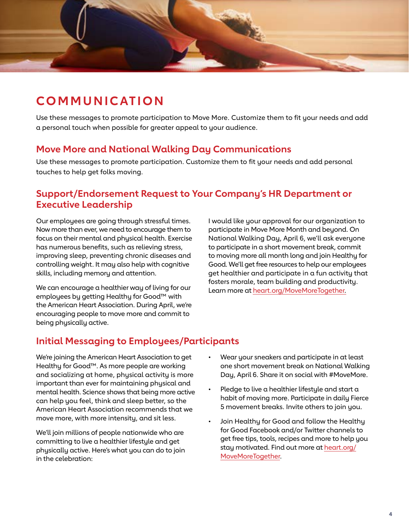<span id="page-4-0"></span>

## **CO M M U N I C AT I O N**

Use these messages to promote participation to Move More. Customize them to fit your needs and add a personal touch when possible for greater appeal to your audience.

## **Move More and National Walking Day Communications**

Use these messages to promote participation. Customize them to fit your needs and add personal touches to help get folks moving.

## **Support/Endorsement Request to Your Company's HR Department or Executive Leadership**

Our employees are going through stressful times. Now more than ever, we need to encourage them to focus on their mental and physical health. Exercise has numerous benefits, such as relieving stress, improving sleep, preventing chronic diseases and controlling weight. It may also help with cognitive skills, including memory and attention.

We can encourage a healthier way of living for our employees by getting Healthy for Good™ with the American Heart Association. During April, we're encouraging people to move more and commit to being physically active.

I would like your approval for our organization to participate in Move More Month and beyond. On National Walking Day, April 6, we'll ask everyone to participate in a short movement break, commit to moving more all month long and join Healthy for Good. We'll get free resources to help our employees get healthier and participate in a fun activity that fosters morale, team building and productivity. Learn more at [heart.org/MoveMoreTogether.](https://www.heart.org/en/healthy-living/fitness/fitness-basics/move-more-together)

## **Initial Messaging to Employees/Participants**

We're joining the American Heart Association to get Healthy for Good™. As more people are working and socializing at home, physical activity is more important than ever for maintaining physical and mental health. Science shows that being more active can help you feel, think and sleep better, so the American Heart Association recommends that we move more, with more intensity, and sit less.

We'll join millions of people nationwide who are committing to live a healthier lifestyle and get physically active. Here's what you can do to join in the celebration:

- Wear your sneakers and participate in at least one short movement break on National Walking Day, April 6. Share it on social with #MoveMore.
- Pledge to live a healthier lifestyle and start a habit of moving more. Participate in daily Fierce 5 movement breaks. Invite others to join you.
- Join Healthy for Good and follow the Healthy for Good Facebook and/or Twitter channels to get free tips, tools, recipes and more to help you stay motivated. Find out more at [heart.org/](https://www.heart.org/en/healthy-living/fitness/fitness-basics/move-more-together) [MoveMoreTogether](https://www.heart.org/en/healthy-living/fitness/fitness-basics/move-more-together).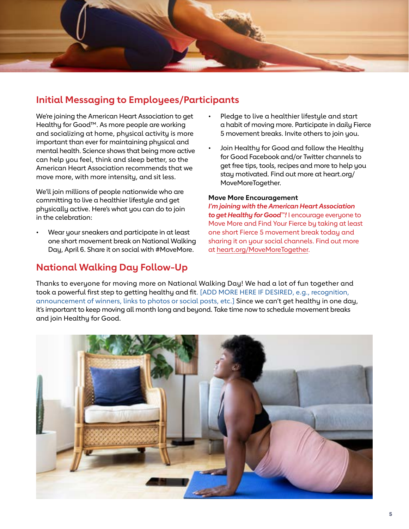

## **Initial Messaging to Employees/Participants**

We're joining the American Heart Association to get Healthy for Good™. As more people are working and socializing at home, physical activity is more important than ever for maintaining physical and mental health. Science shows that being more active can help you feel, think and sleep better, so the American Heart Association recommends that we move more, with more intensity, and sit less.

We'll join millions of people nationwide who are committing to live a healthier lifestyle and get physically active. Here's what you can do to join in the celebration:

• Wear your sneakers and participate in at least one short movement break on National Walking Day, April 6. Share it on social with #MoveMore.

## **National Walking Day Follow-Up**

- Pledge to live a healthier lifestyle and start a habit of moving more. Participate in daily Fierce 5 movement breaks. Invite others to join you.
- Join Healthy for Good and follow the Healthy for Good Facebook and/or Twitter channels to get free tips, tools, recipes and more to help you stay motivated. Find out more at heart.org/ MoveMoreTogether.

#### **Move More Encouragement**

*I'm joining with the American Heart Association to get Healthy for Good™!* I encourage everyone to Move More and Find Your Fierce by taking at least one short Fierce 5 movement break today and sharing it on your social channels. Find out more at [heart.org/MoveMoreTogether](https://www.heart.org/en/healthy-living/fitness/fitness-basics/move-more-together).

Thanks to everyone for moving more on National Walking Day! We had a lot of fun together and took a powerful first step to getting healthy and fit. [ADD MORE HERE IF DESIRED, e.g., recognition, announcement of winners, links to photos or social posts, etc.] Since we can't get healthy in one day, it's important to keep moving all month long and beyond. Take time now to schedule movement breaks and join Healthy for Good.

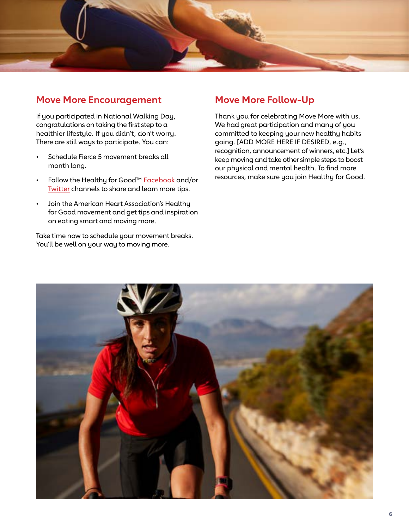

### **Move More Encouragement**

If you participated in National Walking Day, congratulations on taking the first step to a healthier lifestyle. If you didn't, don't worry. There are still ways to participate. You can:

- Schedule Fierce 5 movement breaks all month long.
- Follow the Healthy for Good™ [Facebook](https://www.facebook.com/AHAlivehealthy) and/or [Twitter](https://twitter.com/ahalivehealthy) channels to share and learn more tips.
- Join the American Heart Association's Healthy for Good movement and get tips and inspiration on eating smart and moving more.

Take time now to schedule your movement breaks. You'll be well on your way to moving more.

## **Move More Follow-Up**

Thank you for celebrating Move More with us. We had great participation and many of you committed to keeping your new healthy habits going. [ADD MORE HERE IF DESIRED, e.g., recognition, announcement of winners, etc.] Let's keep moving and take other simple steps to boost our physical and mental health. To find more resources, make sure you join Healthy for Good.